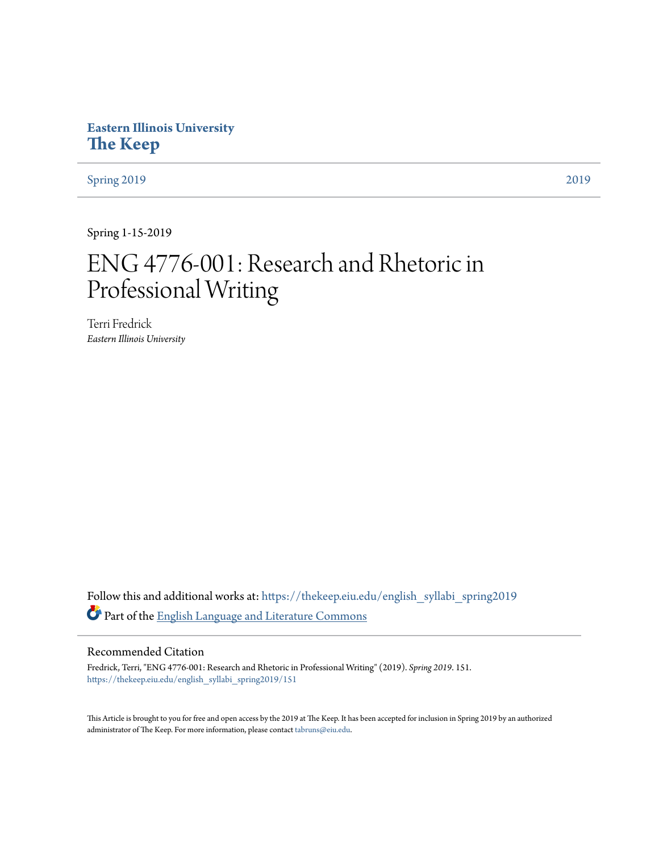# **Eastern Illinois University [The Keep](https://thekeep.eiu.edu?utm_source=thekeep.eiu.edu%2Fenglish_syllabi_spring2019%2F151&utm_medium=PDF&utm_campaign=PDFCoverPages)**

[Spring 2019](https://thekeep.eiu.edu/english_syllabi_spring2019?utm_source=thekeep.eiu.edu%2Fenglish_syllabi_spring2019%2F151&utm_medium=PDF&utm_campaign=PDFCoverPages) [2019](https://thekeep.eiu.edu/english_syllabi2019?utm_source=thekeep.eiu.edu%2Fenglish_syllabi_spring2019%2F151&utm_medium=PDF&utm_campaign=PDFCoverPages)

Spring 1-15-2019

# ENG 4776-001: Research and Rhetoric in Professional Writing

Terri Fredrick *Eastern Illinois University*

Follow this and additional works at: [https://thekeep.eiu.edu/english\\_syllabi\\_spring2019](https://thekeep.eiu.edu/english_syllabi_spring2019?utm_source=thekeep.eiu.edu%2Fenglish_syllabi_spring2019%2F151&utm_medium=PDF&utm_campaign=PDFCoverPages) Part of the [English Language and Literature Commons](http://network.bepress.com/hgg/discipline/455?utm_source=thekeep.eiu.edu%2Fenglish_syllabi_spring2019%2F151&utm_medium=PDF&utm_campaign=PDFCoverPages)

#### Recommended Citation

Fredrick, Terri, "ENG 4776-001: Research and Rhetoric in Professional Writing" (2019). *Spring 2019*. 151. [https://thekeep.eiu.edu/english\\_syllabi\\_spring2019/151](https://thekeep.eiu.edu/english_syllabi_spring2019/151?utm_source=thekeep.eiu.edu%2Fenglish_syllabi_spring2019%2F151&utm_medium=PDF&utm_campaign=PDFCoverPages)

This Article is brought to you for free and open access by the 2019 at The Keep. It has been accepted for inclusion in Spring 2019 by an authorized administrator of The Keep. For more information, please contact [tabruns@eiu.edu.](mailto:tabruns@eiu.edu)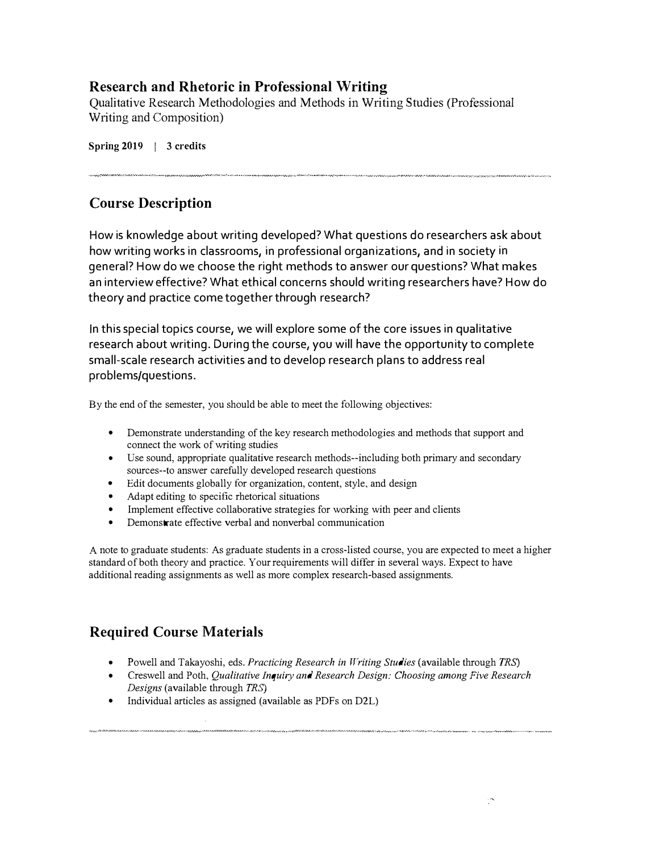## Research and Rhetoric in Professional Writing

Qualitative Research Methodologies and Methods in Writing Studies (Professional Writing and Composition)

Spring 2019 | 3 credits

# Course Description

How is knowledge about writing developed? What questions do researchers ask about how writing works in classrooms, in professional organizations, and in society in general? How do we choose the right methods to answer our questions? What makes an interview effective? What ethical concerns should writing researchers have? How do theory and practice come together through research?

In this special topics course, we will explore some of the core issues in qualitative research about writing. During the course, you will have the opportunity to complete small-scale research activities and to develop research plans to address real problems/questions.

By the end of the semester, you should be able to meet the following objectives:

- Demonstrate understanding of the key research methodologies and methods that support and connect the work of writing studies
- Use sound, appropriate qualitative research methods--including both primary and secondary sources--to answer carefully developed research questions
- Edit documents globally for organization, content, style, and design
- Adapt editing to specific rhetorical situations
- Implement effective collaborative strategies for working with peer and clients
- Demonstrate effective verbal and nonverbal communication

A note to graduate students: As graduate students in a cross-listed course, you are expected to meet a higher standard of both theory and practice. Your requirements will differ in several ways. Expect to have additional reading assignments as well as more complex research-based assignments.

# Required Course Materials

- Powell and Takayoshi, eds. Practicing Research in Writing Studies (available through TRS)
- Creswell and Poth, Qualitative Inquiry and Research Design: Choosing among Five Research Designs (available through TRS)
- Individual articles as assigned (available as PDFs on D2L)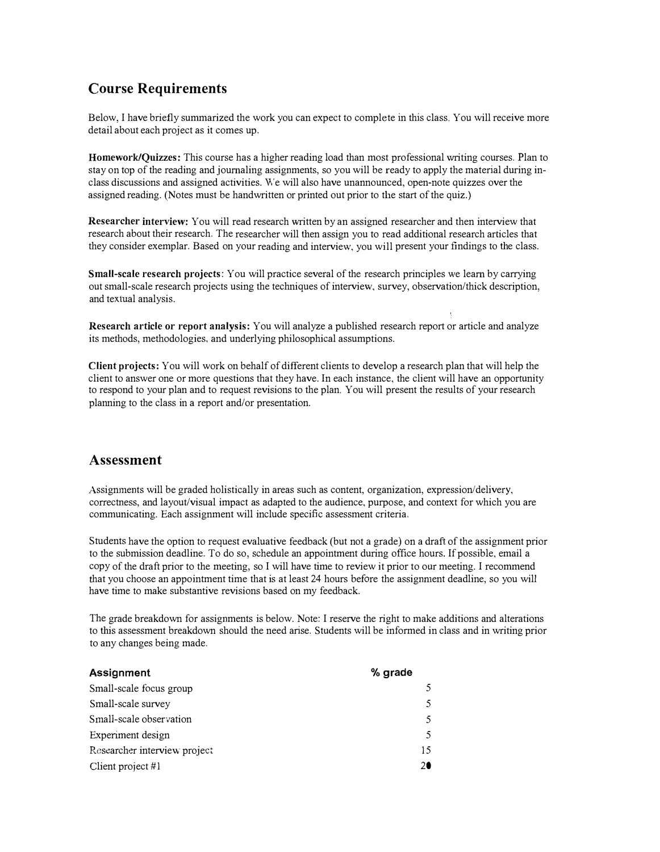# Course Requirements

Below, I have briefly summarized the work you can expect to complete in this class. You will receive more detail about each project as it comes up.

Homework/Quizzes: This course has a higher reading load than most professional writing courses. Plan to stay on top of the reading and journaling assignments, so you will be ready to apply the material during inclass discussions and assigned activities. We will also have unannounced, open-note quizzes over the assigned reading. (Notes must be handwritten or printed out prior to the start of the quiz.)

Researcher interview: You will read research written by an assigned researcher and then interview that research about their research. The researcher will then assign you to read additional research articles that they consider exemplar. Based on your reading and interview, you will present your findings to the class.

Small-scale research projects: You will practice several of the research principles we learn by carrying out small-scale research projects using the techniques of interview, survey, observation/thick description, and textual analysis.

Research article or report analysis: You will analyze a published research report or article and analyze its methods, methodologies, and underlying philosophical assumptions.

Client projects: You will work on behalf of different clients to develop a research plan that will help the client to answer one or more questions that they have. In each instance, the client will have an opportunity to respond to your plan and to request revisions to the plan. You will present the results of your research planning to the class in a report and/or presentation.

## Assessment

Assignments will be graded holistically in areas such as content, organization, expression/delivery, correctness, and layout/visual impact as adapted to the audience, purpose, and context for which you are communicating. Each assignment will include specific assessment criteria.

Students have the option to request evaluative feedback (but not a grade) on a draft of the assignment prior to the submission deadline. To do so, schedule an appointment during office hours. If possible, email a copy of the draft prior to the meeting, so I will have time to review it prior to our meeting. I recommend that you choose an appointment time that is at least 24 hours before the assignment deadline, so you will have time to make substantive revisions based on my feedback.

1'he grade breakdown for assignments is below. Note: I reserve the right to make additions and alterations to this assessment breakdown should the need arise. Students will be informed in class and in writing prior to any changes being made.

| <b>Assignment</b>            | % grade       |
|------------------------------|---------------|
| Small-scale focus group      |               |
| Small-scale survey           | 5.            |
| Small-scale observation      | 5.            |
| Experiment design            | $\mathcal{L}$ |
| Researcher interview project | 15            |
| Client project $#1$          |               |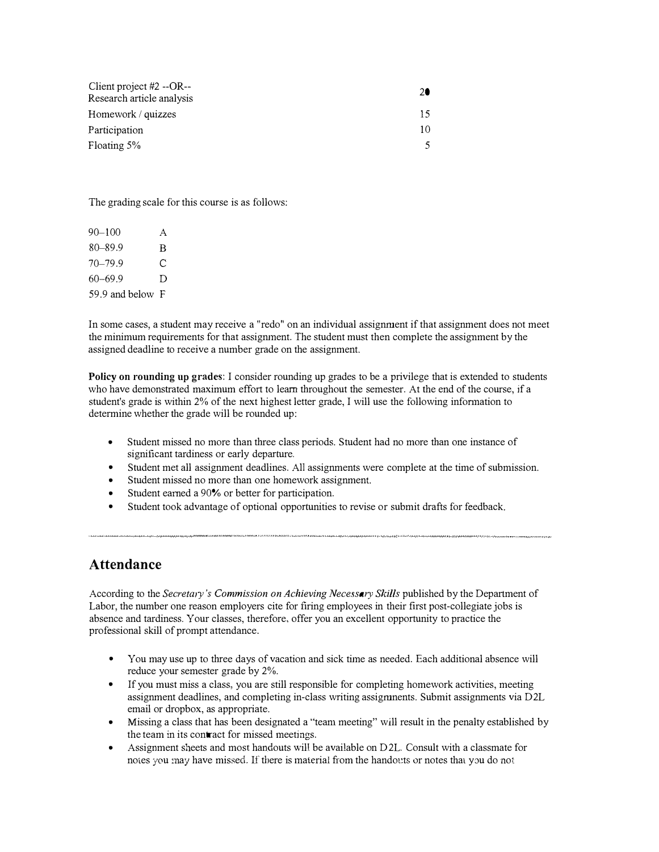| Client project $#2 - OR$ -- |    |
|-----------------------------|----|
| Research article analysis   |    |
| Homework / quizzes          | 15 |
| Participation               | 10 |
| Floating 5%                 |    |

The grading scale for this course is as follows:

| $90 - 100$       | A |
|------------------|---|
| $80 - 89.9$      | B |
| $70 - 79.9$      | С |
| $60 - 69.9$      | D |
| 59.9 and below F |   |

In some cases, a student may receive a "redo" on an individual assignment if that assignment does not meet the minimum requirements for that assignment. The student must then complete the assignment by the assigned deadline to receive a number grade on the assignment.

Policy on rounding up grades: I consider rounding up grades to be a privilege that is extended to students who have demonstrated maximum effort to learn throughout the semester. At the end of the course, if a student's grade is within 2% of the next highest letter grade, I will use the following infonnation to determine whether the grade will be rounded up:

- Student missed no more than three class periods. Student had no more than one instance of significant tardiness or early departure.
- Student met all assignment deadlines. All assignments were complete at the time of submission.
- Student missed no more than one homework assignment.
- Student earned a 90% or better for participation.
- Student took advantage of optional opportunities to revise or submit drafts for feedback.

## Attendance

According to the Secretary's Commission on Achieving Necessary Skills published by the Department of Labor, the number one reason employers cite for firing employees in their first post-collegiate jobs is absence and tardiness. Your classes, therefore, offer you an excellent opportunity to practice the professional skill of prompt attendance.

- You may use up to three days of vacation and sick time as needed. Each additional absence will reduce your semester grade by 2%.
- If you must miss a class, you are still responsible for completing homework activities, meeting assignment deadlines, and completing in-class writing assigmnents. Submit assignments via D2L email or dropbox, as appropriate.
- Missing a class that has been designated a "team meeting" will result in the penalty established by the team in its contract for missed meetings.
- Assignment sheets and most handouts will be available on D2L. Consult with a classmate for notes you :nay have missed. If there is material from the handouts or notes that you do not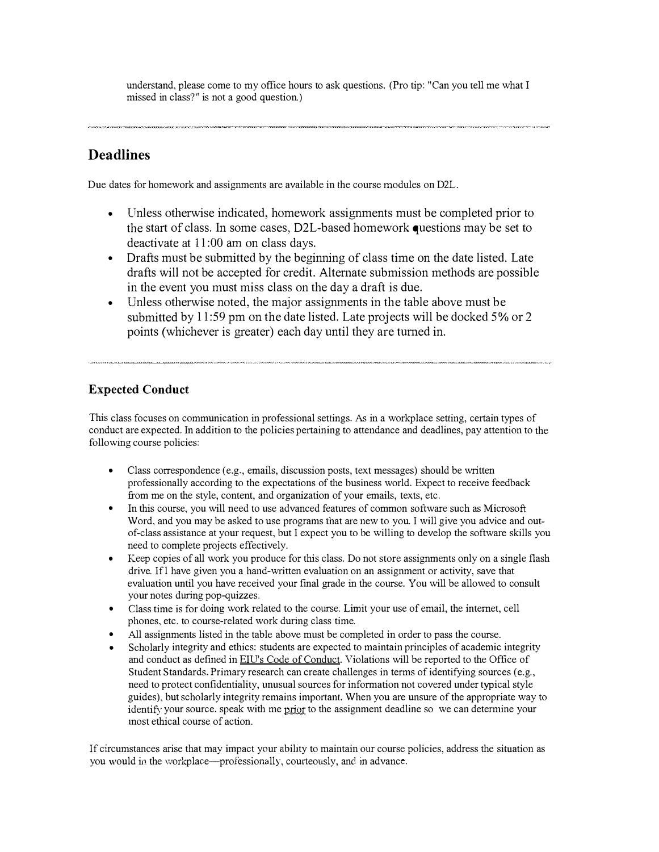understand, please come to my office hours to ask questions. (Pro tip: "Can you tell me what I missed in class?" is not a good question.)

## Deadlines

Due dates for homework and assignments are available in the course modules on D2L.

- Unless otherwise indicated, homework assignments must be completed prior to the start of class. In some cases, D2L-based homework questions may be set to deactivate at 11:00 am on class days.
- Drafts must be submitted by the beginning of class time on the date listed. Late drafts will not be accepted for credit. Alternate submission methods are possible in the event you must miss class on the day a draft is due.
- Unless otherwise noted, the major assignments in the table above must be submitted by 11:59 pm on the date listed. Late projects will be docked 5% or 2 points (whichever is greater) each day until they are turned in.

## Expected Conduct

This class focuses on communication in professional settings. As in a workplace setting, certain types of conduct are expected. In addition to the policies pertaining to attendance and deadlines, pay attention to the following course policies:

- Class correspondence (e.g., emails, discussion posts, text messages) should be written professionally according to the expectations of the business world. Expect to receive feedback from me on the style, content, and organization of your emails, texts, etc.
- In this course, you will need to use advanced features of common software such as Microsoft Word, and you may be asked to use programs that are new to you. I will give you advice and outof-class assistance at your request, but I expect you to be willing to develop the software skills you need to complete projects effectively.
- Keep copies of all work you produce for this class. Do not store assignments only on a single flash drive. If l have given you a hand-written evaluation on an assignment or activity, save that evaluation until you have received your final grade in the course. You will be allowed to consult your notes during pop-quizzes.
- Class time is for doing work related to the course. Limit your use of email, the internet, cell phones, etc. to course-related work during class time.
- All assignments listed in the table above must be completed in order to pass the course.
- Scholarly integrity and ethics: students are expected to maintain principles of academic integrity and conduct as defined in EIU's Code of Conduct. Violations will be reported to the Office of Student Standards. Primary research can create challenges in terms of identifying sources (e.g., need to protect confidentiality, unusual sources for information not covered under typical style guides). but scholarly integrity remains important. When you are unsure of the appropriate way to identify your source. speak with me prior to the assignment deadline so we can determine your inost ethical course of action.

If circumstances arise that may impact your ability to maintain our course policies, address the situation as you would in the workplace—professionally, courteously, and in advance.